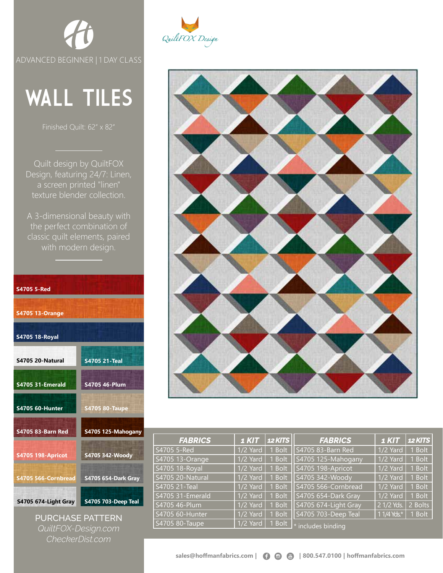

## WALL TILES

Quilt design by QuiltFOX Design, featuring 24/7: Linen, a screen printed "linen" texture blender collection.

A 3-dimensional beauty with the perfect combination of classic quilt elements, paired with modern design.

| <b>S4705 5-Red</b>       |                            |
|--------------------------|----------------------------|
| <b>S4705 13-Orange</b>   |                            |
| <b>S4705 18-Royal</b>    |                            |
| S4705 20-Natural         | <b>S4705 21-Teal</b>       |
| <b>S4705 31-Emerald</b>  | S4705 46-Plum              |
| <b>S4705 60-Hunter</b>   | <b>S4705 80-Taupe</b>      |
| <b>S4705 83-Barn Red</b> | S4705 125-Mahogany         |
| <b>S4705 198-Apricot</b> | S4705 342-Woody            |
| S4705 566-Cornbread      | <b>S4705 654-Dark Gray</b> |
| S4705 674-Light Gray     | <b>S4705 703-Deep Teal</b> |

PURCHASE PATTERN *QuiltFOX-Design.com CheckerDist.com*





| <b>FABRICS</b>   | <b>1 KIT</b> | <b>12 KITS</b> | <b>FABRICS</b>           | <b>1 KIT</b> | <b>12 KITS</b> |
|------------------|--------------|----------------|--------------------------|--------------|----------------|
| S4705 5-Red      | 1/2 Yard     | 1 Bolt         | S4705 83-Barn Red        | 1/2 Yard     | 1 Bolt         |
| S4705 13-Orange  | 1/2 Yard     | 1 Bolt         | S4705 125-Mahogany       | 1/2 Yard     | 1 Bolt         |
| S4705 18-Royal   | 1/2 Yard     | 1 Bolt         | S4705 198-Apricot        | 1/2 Yard     | 1 Bolt         |
| S4705 20-Natural | 1/2 Yard     | 1 Bolt         | S4705 342-Woody          | 1/2 Yard     | 1 Bolt         |
| S4705 21-Teal    | 1/2 Yard     | 1 Bolt         | S4705 566-Cornbread      | 1/2 Yard     | 1 Bolt         |
| S4705 31-Emerald | 1/2 Yard     | 1 Bolt         | S4705 654-Dark Gray      | 1/2 Yard     | 1 Bolt         |
| S4705 46-Plum    | 1/2 Yard     | 1 Bolt         | S4705 674-Light Gray     | 2 1/2 Yds.   | 2 Bolts        |
| S4705 60-Hunter  | 1/2 Yard     | 1 Bolt         | S4705 703-Deep Teal      | $11/4$ Yds.* | $1$ Bolt       |
| S4705 80-Taupe   | 1/2 Yard     | 1 Bolt         | $\star$ includes binding |              |                |